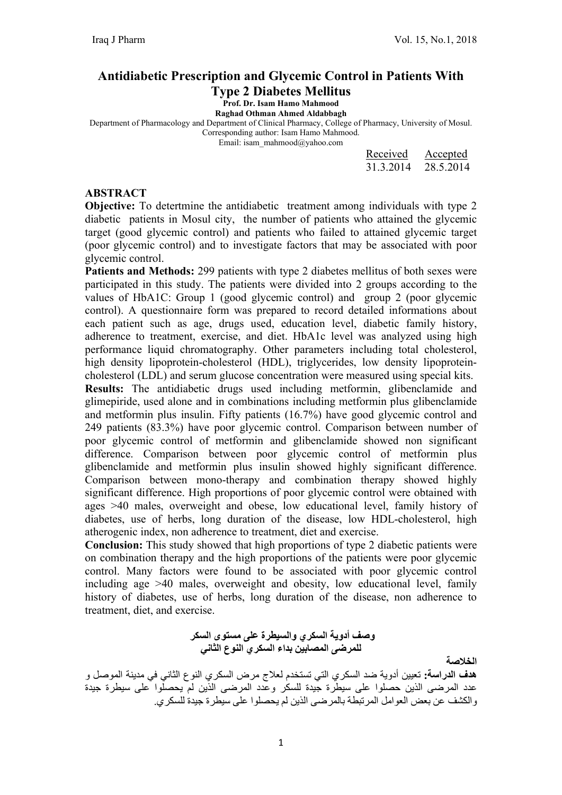### Antidiabetic Prescription and Glycemic Control in Patients With

Type 2 Diabetes Mellitus

Prof. Dr. Isam Hamo Mahmood

Raghad Othman Ahmed Aldabbagh

Department of Pharmacology and Department of Clinical Pharmacy, College of Pharmacy, University of Mosul.

Corresponding author: Isam Hamo Mahmood. Email: isam\_mahmood@yahoo.com

| Received  | Accepted  |
|-----------|-----------|
| 31.3.2014 | 28.5.2014 |

#### ABSTRACT

Objective: To detertmine the antidiabetic treatment among individuals with type 2 diabetic patients in Mosul city, the number of patients who attained the glycemic target (good glycemic control) and patients who failed to attained glycemic target (poor glycemic control) and to investigate factors that may be associated with poor glycemic control.

Patients and Methods: 299 patients with type 2 diabetes mellitus of both sexes were participated in this study. The patients were divided into 2 groups according to the values of HbA1C: Group 1 (good glycemic control) and group 2 (poor glycemic control). A questionnaire form was prepared to record detailed informations about each patient such as age, drugs used, education level, diabetic family history, adherence to treatment, exercise, and diet. HbA1c level was analyzed using high performance liquid chromatography. Other parameters including total cholesterol, high density lipoprotein-cholesterol (HDL), triglycerides, low density lipoproteincholesterol (LDL) and serum glucose concentration were measured using special kits. Results: The antidiabetic drugs used including metformin, glibenclamide and glimepiride, used alone and in combinations including metformin plus glibenclamide and metformin plus insulin. Fifty patients (16.7%) have good glycemic control and

249 patients (83.3%) have poor glycemic control. Comparison between number of poor glycemic control of metformin and glibenclamide showed non significant difference. Comparison between poor glycemic control of metformin plus glibenclamide and metformin plus insulin showed highly significant difference. Comparison between mono-therapy and combination therapy showed highly significant difference. High proportions of poor glycemic control were obtained with ages >40 males, overweight and obese, low educational level, family history of diabetes, use of herbs, long duration of the disease, low HDL-cholesterol, high atherogenic index, non adherence to treatment, diet and exercise.

Conclusion: This study showed that high proportions of type 2 diabetic patients were on combination therapy and the high proportions of the patients were poor glycemic control. Many factors were found to be associated with poor glycemic control including age >40 males, overweight and obesity, low educational level, family history of diabetes, use of herbs, long duration of the disease, non adherence to treatment, diet, and exercise.

> وصف أدوية السكري والسيطرة على مستوى السكر للمرضى المصابين بداء السكري النوع الثاني

الخلاصة

هدف الدراسة: تعيين أدوية ضد السكري التي تستخدم لعلاج مرض السكري النوع الثاني في مدينة الموصل و عدد المرضى الذين حصلوا على سيطرة جيدة للسكر وعدد المرضى الذين لم يحصلوا على سيطرة جيدة والكشف عن بعض العوامل المرتبطة بالمرضى الذين لم يحصلوا على سيطرة جيدة للسكري.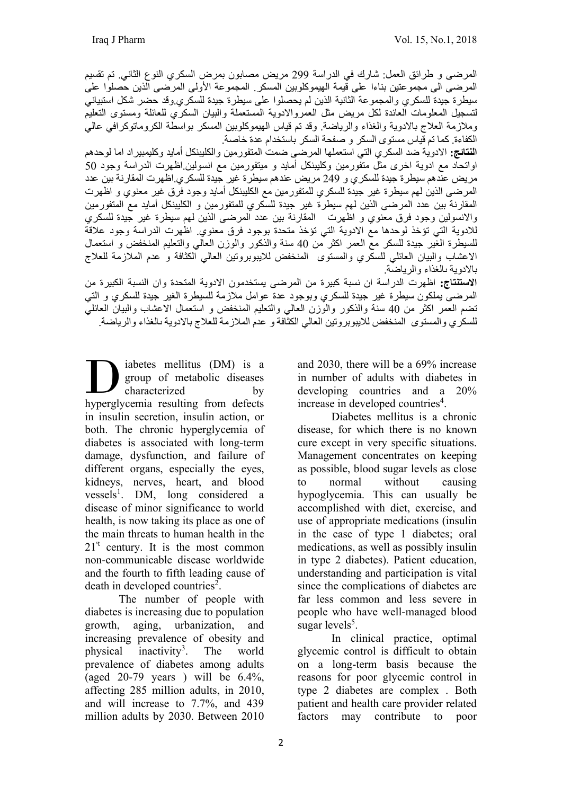المرضى و طرائق العمل: شارك في الدراسة 299 مريض مصابون بمرض السكري النوع الثاني. تم تقسيم المرضى الى مجموعتين بناءا على قيمة الهيموكلوبين المسكر. المجموعة الأولى المرضى الذين حصلوا على سيطرة جيدة للسكري والمجموعة الثانية الذين لم يحصلوا على سيطرة جيدة للسكري.وقد حضر شكل استبياني لتسجيل المعلومات العائدة لكل مريض مثل العمروالادوية المستعملة والبيان السكري للعائلة ومستوى التعليم وملازمة العلاج بالادوية والغذاء والرياضة. وقد تم قياس الهيموكلوبين المسكر بواسطة الكروماتوكرافي عالي الكفاءة. كما تم قياس مستوى السكر و صفحة السكر باستخدام عدة خاصة.

ا**لنتائج:** الادوية ضد السكري التي استعملها المرضى ضمت المتفورمين والكليبنكل أمايد وكليمبيراد اما لوحدهم اواتحاد مع ادوية اخرى مثل متفورمين وكليبنكل أمايد و ميتفورمين مع انسولين.اظهرت الدراسة وجود 50 مريض عندهم سيطرة جيدة للسكري و 249 مريض عندهم سيطرة غير جيدة للسكري.اظهرت المقارنة بين عدد المرضى الذين لهم سيطرة غير جيدة للسكري للمتفورمين مع الكليبنكل أمايد وجود فرق غير معنوي و اظهرت المقارنة بين عدد المرضى الذين لهم سيطرة غير جيدة للسكري للمتفورمين و الكليبنكل أمايد مع المتفورمين والانسولين وجود فرق معنوي و اظهرت المقارنة بين عدد المرضى الذين لهم سيطرة غير جيدة للسكري للادوية التي تؤخذ لوحدها مع الادوية التي تؤخذ متحدة بوجود فرق معنوي. اظهرت الدراسة وجود علاقة للسيطرة الغير جيدة للسكر مع العمر اكثر من 40 سنة والذكور والوزن العالي والتعليم المنخفض و استعمال الاعشاب والبيان العائلي للسكري والمستوى المنخفض للايبوبروتين العالي الكثافة و عدم الملازمة للعلاج بالادوية ىالغذاء والرياضة.

الاستنتاج: اظهرت الدراسة ان نسبة كبيرة من المرضى يستخدمون الادوية المتحدة وان النسبة الكبيرة من المرضى يملكون سيطرة غير جيدة للسكري وبوجود عدة عوامل ملازمة للسيطرة الغير جيدة للسكري و التي تضم العمر اكثر من 40 سنة والذكور والوزن العالي والتعليم المنخفض و استعمال الاعشاب والبيان العائلي للسكري والمستوى المنخفض للايبوبروتين العالي الكثافة و عدم الملازمة للعلاج بالادوية ىالغذاء والرياضة.

iabetes mellitus (DM) is a group of metabolic diseases characterized by abetes mellitus (DM) is a group of metabolic diseases characterized by hyperglycemia resulting from defects in insulin secretion, insulin action, or both. The chronic hyperglycemia of diabetes is associated with long-term damage, dysfunction, and failure of different organs, especially the eyes, kidneys, nerves, heart, and blood vessels<sup>1</sup>. DM, long considered a disease of minor significance to world health, is now taking its place as one of the main threats to human health in the  $21<sup>*</sup>$  century. It is the most common non-communicable disease worldwide and the fourth to fifth leading cause of death in developed countries<sup>2</sup>.

The number of people with diabetes is increasing due to population growth, aging, urbanization, and increasing prevalence of obesity and physical inactivity<sup>3</sup>. . The world prevalence of diabetes among adults (aged  $20-79$  years ) will be  $6.4\%$ , affecting 285 million adults, in 2010, and will increase to 7.7%, and 439 million adults by 2030. Between 2010

and 2030, there will be a 69% increase in number of adults with diabetes in developing countries and a 20% increase in developed countries<sup>4</sup>.

Diabetes mellitus is a chronic disease, for which there is no known cure except in very specific situations. Management concentrates on keeping as possible, blood sugar levels as close to normal without causing hypoglycemia. This can usually be accomplished with diet, exercise, and use of appropriate medications (insulin in the case of type 1 diabetes; oral medications, as well as possibly insulin in type 2 diabetes). Patient education, understanding and participation is vital since the complications of diabetes are far less common and less severe in people who have well-managed blood sugar levels<sup>5</sup>.

In clinical practice, optimal glycemic control is difficult to obtain on a long-term basis because the reasons for poor glycemic control in type 2 diabetes are complex . Both patient and health care provider related factors may contribute to poor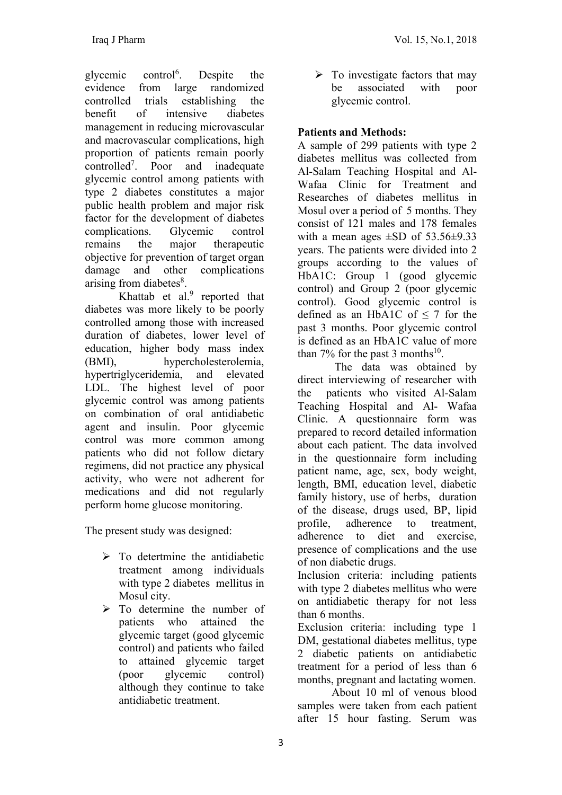glycemic control<sup>6</sup>. Despite the evidence from large randomized controlled trials establishing the benefit of intensive diabetes management in reducing microvascular and macrovascular complications, high proportion of patients remain poorly controlled<sup>7</sup> . Poor and inadequate glycemic control among patients with type 2 diabetes constitutes a major public health problem and major risk factor for the development of diabetes complications. Glycemic control remains the major therapeutic objective for prevention of target organ damage and other complications arising from diabetes<sup>8</sup>.

Khattab et al. $9$  reported that diabetes was more likely to be poorly controlled among those with increased duration of diabetes, lower level of education, higher body mass index (BMI), hypercholesterolemia, hypertriglyceridemia, and elevated LDL. The highest level of poor glycemic control was among patients on combination of oral antidiabetic agent and insulin. Poor glycemic control was more common among patients who did not follow dietary regimens, did not practice any physical activity, who were not adherent for medications and did not regularly perform home glucose monitoring.

The present study was designed:

- $\triangleright$  To detertmine the antidiabetic treatment among individuals with type 2 diabetes mellitus in Mosul city.
- $\triangleright$  To determine the number of patients who attained the glycemic target (good glycemic control) and patients who failed to attained glycemic target (poor glycemic control) although they continue to take antidiabetic treatment.

 $\triangleright$  To investigate factors that may be associated with poor glycemic control.

# Patients and Methods:

A sample of 299 patients with type 2 diabetes mellitus was collected from Al-Salam Teaching Hospital and Al-Wafaa Clinic for Treatment and Researches of diabetes mellitus in Mosul over a period of 5 months. They consist of 121 males and 178 females with a mean ages  $\pm$ SD of 53.56 $\pm$ 9.33 years. The patients were divided into 2 groups according to the values of HbA1C: Group 1 (good glycemic control) and Group 2 (poor glycemic control). Good glycemic control is defined as an HbA1C of  $\leq$  7 for the past 3 months. Poor glycemic control is defined as an HbA1C value of more than 7% for the past 3 months<sup>10</sup>.

 The data was obtained by direct interviewing of researcher with the patients who visited Al-Salam Teaching Hospital and Al- Wafaa Clinic. A questionnaire form was prepared to record detailed information about each patient. The data involved in the questionnaire form including patient name, age, sex, body weight, length, BMI, education level, diabetic family history, use of herbs, duration of the disease, drugs used, BP, lipid profile, adherence to treatment, adherence to diet and exercise, presence of complications and the use of non diabetic drugs.

Inclusion criteria: including patients with type 2 diabetes mellitus who were on antidiabetic therapy for not less than 6 months.

Exclusion criteria: including type 1 DM, gestational diabetes mellitus, type 2 diabetic patients on antidiabetic treatment for a period of less than 6 months, pregnant and lactating women.

 About 10 ml of venous blood samples were taken from each patient after 15 hour fasting. Serum was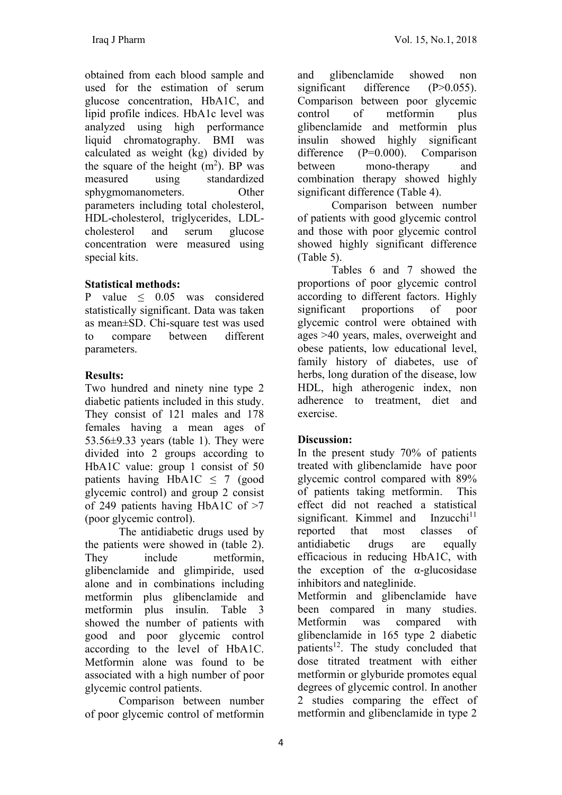obtained from each blood sample and used for the estimation of serum glucose concentration, HbA1C, and lipid profile indices. HbA1c level was analyzed using high performance liquid chromatography. BMI was calculated as weight (kg) divided by the square of the height  $(m<sup>2</sup>)$ . BP was measured using standardized sphygmomanometers. Other parameters including total cholesterol, HDL-cholesterol, triglycerides, LDLcholesterol and serum glucose concentration were measured using special kits.

## Statistical methods:

P value  $\leq$  0.05 was considered statistically significant. Data was taken as mean±SD. Chi-square test was used to compare between different parameters.

## Results:

Two hundred and ninety nine type 2 diabetic patients included in this study. They consist of 121 males and 178 females having a mean ages of 53.56 $\pm$ 9.33 years (table 1). They were divided into 2 groups according to HbA1C value: group 1 consist of 50 patients having HbA1C  $\leq$  7 (good glycemic control) and group 2 consist of 249 patients having HbA1C of >7 (poor glycemic control).

 The antidiabetic drugs used by the patients were showed in (table 2). They include metformin, glibenclamide and glimpiride, used alone and in combinations including metformin plus glibenclamide and metformin plus insulin. Table 3 showed the number of patients with good and poor glycemic control according to the level of HbA1C. Metformin alone was found to be associated with a high number of poor glycemic control patients.

 Comparison between number of poor glycemic control of metformin

and glibenclamide showed non significant difference (P>0.055). Comparison between poor glycemic control of metformin plus glibenclamide and metformin plus insulin showed highly significant difference (P=0.000). Comparison between mono-therapy and combination therapy showed highly significant difference (Table 4).

 Comparison between number of patients with good glycemic control and those with poor glycemic control showed highly significant difference (Table 5).

 Tables 6 and 7 showed the proportions of poor glycemic control according to different factors. Highly significant proportions of poor glycemic control were obtained with ages >40 years, males, overweight and obese patients, low educational level, family history of diabetes, use of herbs, long duration of the disease, low HDL, high atherogenic index, non adherence to treatment, diet and exercise.

## Discussion:

In the present study 70% of patients treated with glibenclamide have poor glycemic control compared with 89% of patients taking metformin. This effect did not reached a statistical significant. Kimmel and  $Inzucchi<sup>11</sup>$ reported that most classes of antidiabetic drugs are equally efficacious in reducing HbA1C, with the exception of the  $\alpha$ -glucosidase inhibitors and nateglinide.

Metformin and glibenclamide have been compared in many studies. Metformin was compared with glibenclamide in 165 type 2 diabetic patients<sup>12</sup>. The study concluded that dose titrated treatment with either metformin or glyburide promotes equal degrees of glycemic control. In another 2 studies comparing the effect of metformin and glibenclamide in type 2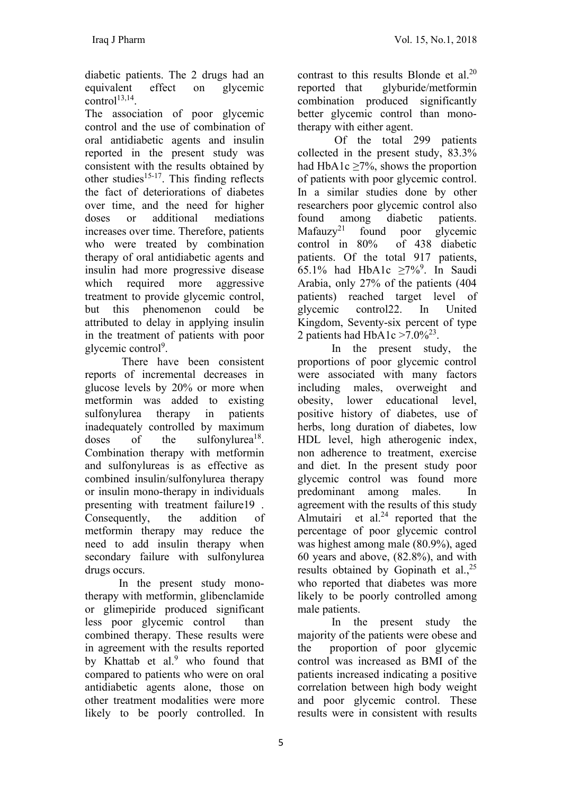diabetic patients. The 2 drugs had an equivalent effect on glycemic  $control<sup>13,14</sup>$ .

The association of poor glycemic control and the use of combination of oral antidiabetic agents and insulin reported in the present study was consistent with the results obtained by other studies<sup>15-17</sup>. This finding reflects the fact of deteriorations of diabetes over time, and the need for higher doses or additional mediations increases over time. Therefore, patients who were treated by combination therapy of oral antidiabetic agents and insulin had more progressive disease which required more aggressive treatment to provide glycemic control, but this phenomenon could be attributed to delay in applying insulin in the treatment of patients with poor glycemic control<sup>9</sup>.

 There have been consistent reports of incremental decreases in glucose levels by 20% or more when metformin was added to existing sulfonylurea therapy in patients inadequately controlled by maximum doses of the sulfonylurea<sup>18</sup>. Combination therapy with metformin and sulfonylureas is as effective as combined insulin/sulfonylurea therapy or insulin mono-therapy in individuals presenting with treatment failure19 . Consequently, the addition of metformin therapy may reduce the need to add insulin therapy when secondary failure with sulfonylurea drugs occurs.

 In the present study monotherapy with metformin, glibenclamide or glimepiride produced significant less poor glycemic control than combined therapy. These results were in agreement with the results reported by Khattab et al.<sup>9</sup> who found that compared to patients who were on oral antidiabetic agents alone, those on other treatment modalities were more likely to be poorly controlled. In

contrast to this results Blonde et al.<sup>20</sup> reported that glyburide/metformin combination produced significantly better glycemic control than monotherapy with either agent.

 Of the total 299 patients collected in the present study, 83.3% had HbA1c ≥7%, shows the proportion of patients with poor glycemic control. In a similar studies done by other researchers poor glycemic control also found among diabetic patients.  $Mafauxy^{21}$  found poor glycemic control in 80% of 438 diabetic patients. Of the total 917 patients, 65.1% had HbA1c  $\geq 7\%$ <sup>9</sup>. In Saudi Arabia, only 27% of the patients (404 patients) reached target level of glycemic control22. In United Kingdom, Seventy-six percent of type 2 patients had HbA1c  $>7.0\%^{23}$ .

 In the present study, the proportions of poor glycemic control were associated with many factors including males, overweight and obesity, lower educational level, positive history of diabetes, use of herbs, long duration of diabetes, low HDL level, high atherogenic index, non adherence to treatment, exercise and diet. In the present study poor glycemic control was found more predominant among males. In agreement with the results of this study Almutairi et al. $^{24}$  reported that the percentage of poor glycemic control was highest among male (80.9%), aged 60 years and above, (82.8%), and with results obtained by Gopinath et al.,<sup>25</sup> who reported that diabetes was more likely to be poorly controlled among male patients.

 In the present study the majority of the patients were obese and the proportion of poor glycemic control was increased as BMI of the patients increased indicating a positive correlation between high body weight and poor glycemic control. These results were in consistent with results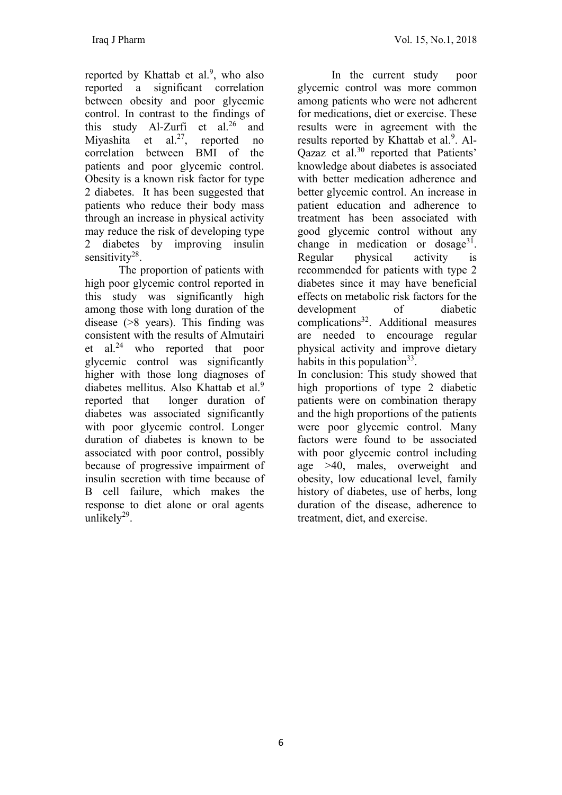reported by Khattab et al.<sup>9</sup>, who also reported a significant correlation between obesity and poor glycemic control. In contrast to the findings of this study Al-Zurfi et al.<sup>26</sup> and Miyashita et al.<sup>27</sup>, reported no correlation between BMI of the patients and poor glycemic control. Obesity is a known risk factor for type 2 diabetes. It has been suggested that patients who reduce their body mass through an increase in physical activity may reduce the risk of developing type 2 diabetes by improving insulin sensitivity<sup>28</sup>.

 The proportion of patients with high poor glycemic control reported in this study was significantly high among those with long duration of the disease (>8 years). This finding was consistent with the results of Almutairi et al.<sup>24</sup> who reported that poor glycemic control was significantly higher with those long diagnoses of diabetes mellitus. Also Khattab et al.<sup>9</sup> reported that longer duration of diabetes was associated significantly with poor glycemic control. Longer duration of diabetes is known to be associated with poor control, possibly because of progressive impairment of insulin secretion with time because of B cell failure, which makes the response to diet alone or oral agents unlikely<sup>29</sup>.

 In the current study poor glycemic control was more common among patients who were not adherent for medications, diet or exercise. These results were in agreement with the results reported by Khattab et al.<sup>9</sup>. Al-Qazaz et al.<sup>30</sup> reported that Patients' knowledge about diabetes is associated with better medication adherence and better glycemic control. An increase in patient education and adherence to treatment has been associated with good glycemic control without any change in medication or dosage $31$ . Regular physical activity is recommended for patients with type 2 diabetes since it may have beneficial effects on metabolic risk factors for the development of diabetic complications<sup>32</sup>. Additional measures are needed to encourage regular physical activity and improve dietary habits in this population<sup>33</sup>. In conclusion: This study showed that high proportions of type 2 diabetic patients were on combination therapy and the high proportions of the patients were poor glycemic control. Many factors were found to be associated with poor glycemic control including age >40, males, overweight and obesity, low educational level, family history of diabetes, use of herbs, long duration of the disease, adherence to treatment, diet, and exercise.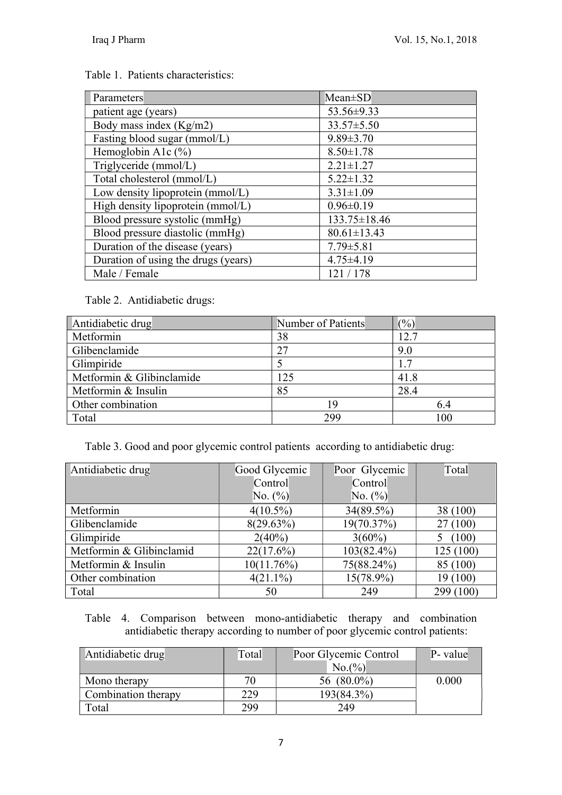## Table 1. Patients characteristics:

| <b>Parameters</b>                   | $Mean \pm SD$      |
|-------------------------------------|--------------------|
| patient age (years)                 | 53.56±9.33         |
| Body mass index (Kg/m2)             | $33.57 \pm 5.50$   |
| Fasting blood sugar (mmol/L)        | $9.89 \pm 3.70$    |
| Hemoglobin A1c (%)                  | $8.50 \pm 1.78$    |
| Triglyceride (mmol/L)               | $2.21 \pm 1.27$    |
| Total cholesterol (mmol/L)          | $5.22 \pm 1.32$    |
| Low density lipoprotein (mmol/L)    | $3.31 \pm 1.09$    |
| High density lipoprotein (mmol/L)   | $0.96 \pm 0.19$    |
| Blood pressure systolic (mmHg)      | $133.75 \pm 18.46$ |
| Blood pressure diastolic (mmHg)     | $80.61 \pm 13.43$  |
| Duration of the disease (years)     | $7.79 \pm 5.81$    |
| Duration of using the drugs (years) | $4.75 \pm 4.19$    |
| Male / Female                       | 121/178            |

Table 2. Antidiabetic drugs:

| Antidiabetic drug         | Number of Patients | (%)  |
|---------------------------|--------------------|------|
| Metformin                 | 38                 | 12.7 |
| Glibenclamide             | 27                 | 9.0  |
| Glimpiride                |                    | 1.7  |
| Metformin & Glibinclamide | 125                | 41.8 |
| Metformin & Insulin       | 85                 | 28.4 |
| Other combination         | 19                 | 6.4  |
| Total                     | 299                | 100  |

Table 3. Good and poor glycemic control patients according to antidiabetic drug:

| Antidiabetic drug        | Good Glycemic | Poor Glycemic | Total     |
|--------------------------|---------------|---------------|-----------|
|                          | Control       | Control       |           |
|                          | No. $(\%)$    | No. $(\%)$    |           |
| Metformin                | $4(10.5\%)$   | 34(89.5%)     | 38 (100)  |
| Glibenclamide            | 8(29.63%)     | 19(70.37%)    | 27(100)   |
| Glimpiride               | $2(40\%)$     | $3(60\%)$     | (100)     |
| Metformin & Glibinclamid | 22(17.6%)     | $103(82.4\%)$ | 125(100)  |
| Metformin & Insulin      | 10(11.76%)    | 75(88.24%)    | 85 (100)  |
| Other combination        | $4(21.1\%)$   | $15(78.9\%)$  | 19 (100)  |
| Total                    | 50            | 249           | 299 (100) |

Table 4. Comparison between mono-antidiabetic therapy and combination antidiabetic therapy according to number of poor glycemic control patients:

| Antidiabetic drug   | Total | Poor Glycemic Control | P- value |
|---------------------|-------|-----------------------|----------|
|                     |       | No.(%)                |          |
| Mono therapy        |       | 56 (80.0%)            | 0.000    |
| Combination therapy | 229   | 193(84.3%)            |          |
| Total               | 299   | 249                   |          |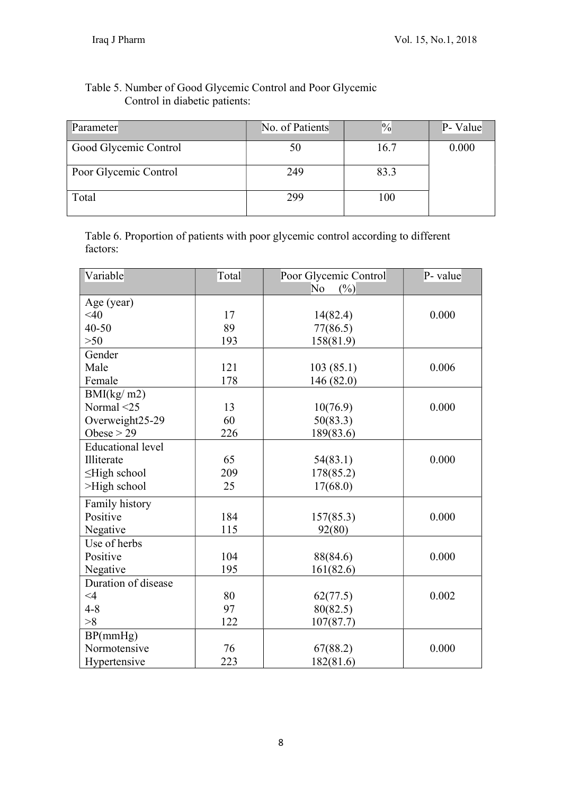# Table 5. Number of Good Glycemic Control and Poor Glycemic Control in diabetic patients:

| Parameter             | No. of Patients | $\frac{0}{0}$ | P- Value |
|-----------------------|-----------------|---------------|----------|
| Good Glycemic Control | 50              | 16.7          | 0.000    |
| Poor Glycemic Control | 249             | 83.3          |          |
| Total                 | 299             | 100           |          |

Table 6. Proportion of patients with poor glycemic control according to different factors:

| Variable                 | Total | Poor Glycemic Control<br>No<br>(%) | P- value |
|--------------------------|-------|------------------------------------|----------|
| Age (year)               |       |                                    |          |
| <40                      | 17    | 14(82.4)                           | 0.000    |
| $40 - 50$                | 89    | 77(86.5)                           |          |
| $>50$                    | 193   | 158(81.9)                          |          |
| Gender                   |       |                                    |          |
| Male                     | 121   | 103(85.1)                          | 0.006    |
| Female                   | 178   | 146 (82.0)                         |          |
| BMI(kg/m2)               |       |                                    |          |
| Normal <25               | 13    | 10(76.9)                           | 0.000    |
| Overweight25-29          | 60    | 50(83.3)                           |          |
| Obese $> 29$             | 226   | 189(83.6)                          |          |
| <b>Educational level</b> |       |                                    |          |
| Illiterate               | 65    | 54(83.1)                           | 0.000    |
| $\leq$ High school       | 209   | 178(85.2)                          |          |
| >High school             | 25    | 17(68.0)                           |          |
| Family history           |       |                                    |          |
| Positive                 | 184   | 157(85.3)                          | 0.000    |
| Negative                 | 115   | 92(80)                             |          |
| Use of herbs             |       |                                    |          |
| Positive                 | 104   | 88(84.6)                           | 0.000    |
| Negative                 | 195   | 161(82.6)                          |          |
| Duration of disease      |       |                                    |          |
| $\leq 4$                 | 80    | 62(77.5)                           | 0.002    |
| $4 - 8$                  | 97    | 80(82.5)                           |          |
| >8                       | 122   | 107(87.7)                          |          |
| BP(mmHg)                 |       |                                    |          |
| Normotensive             | 76    | 67(88.2)                           | 0.000    |
| Hypertensive             | 223   | 182(81.6)                          |          |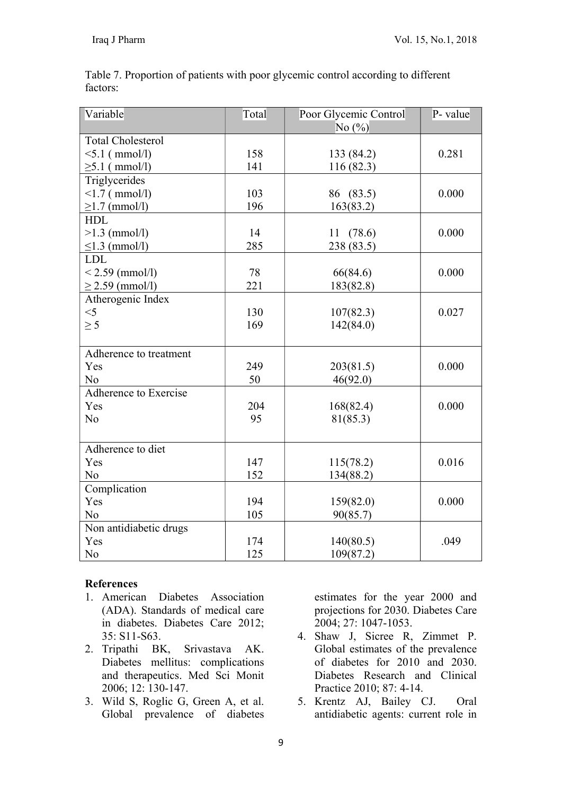| Variable                 | Total | Poor Glycemic Control | P- value |
|--------------------------|-------|-----------------------|----------|
|                          |       | No $(\%)$             |          |
| <b>Total Cholesterol</b> |       |                       |          |
| $5.1$ (mmol/l)           | 158   | 133 (84.2)            | 0.281    |
| $\geq 5.1$ (mmol/l)      | 141   | 116(82.3)             |          |
| Triglycerides            |       |                       |          |
| $\leq$ 1.7 ( mmol/l)     | 103   | 86 (83.5)             | 0.000    |
| $\geq$ 1.7 (mmol/l)      | 196   | 163(83.2)             |          |
| <b>HDL</b>               |       |                       |          |
| $>1.3$ (mmol/l)          | 14    | 11(78.6)              | 0.000    |
| $\leq$ 1.3 (mmol/l)      | 285   | 238 (83.5)            |          |
| <b>LDL</b>               |       |                       |          |
| $< 2.59$ (mmol/l)        | 78    | 66(84.6)              | 0.000    |
| $\geq$ 2.59 (mmol/l)     | 221   | 183(82.8)             |          |
| Atherogenic Index        |       |                       |          |
| $<$ 5                    | 130   | 107(82.3)             | 0.027    |
| $\geq$ 5                 | 169   | 142(84.0)             |          |
|                          |       |                       |          |
| Adherence to treatment   |       |                       |          |
| Yes                      | 249   | 203(81.5)             | 0.000    |
| N <sub>o</sub>           | 50    | 46(92.0)              |          |
| Adherence to Exercise    |       |                       |          |
| Yes                      | 204   | 168(82.4)             | 0.000    |
| N <sub>o</sub>           | 95    | 81(85.3)              |          |
|                          |       |                       |          |
| Adherence to diet        |       |                       |          |
| Yes                      | 147   | 115(78.2)             | 0.016    |
| N <sub>o</sub>           | 152   | 134(88.2)             |          |
| Complication             |       |                       |          |
| Yes                      | 194   | 159(82.0)             | 0.000    |
| N <sub>o</sub>           | 105   | 90(85.7)              |          |
| Non antidiabetic drugs   |       |                       |          |
| Yes                      | 174   | 140(80.5)             | .049     |
| No                       | 125   | 109(87.2)             |          |

Table 7. Proportion of patients with poor glycemic control according to different factors:

## **References**

- 1. American Diabetes Association (ADA). Standards of medical care in diabetes. Diabetes Care 2012; 35: S11-S63.
- 2. Tripathi BK, Srivastava AK. Diabetes mellitus: complications and therapeutics. Med Sci Monit 2006; 12: 130-147.
- 3. Wild S, Roglic G, Green A, et al. Global prevalence of diabetes

estimates for the year 2000 and projections for 2030. Diabetes Care 2004; 27: 1047-1053.

- 4. Shaw J, Sicree R, Zimmet P. Global estimates of the prevalence of diabetes for 2010 and 2030. Diabetes Research and Clinical Practice 2010; 87: 4-14.
- 5. Krentz AJ, Bailey CJ. Oral antidiabetic agents: current role in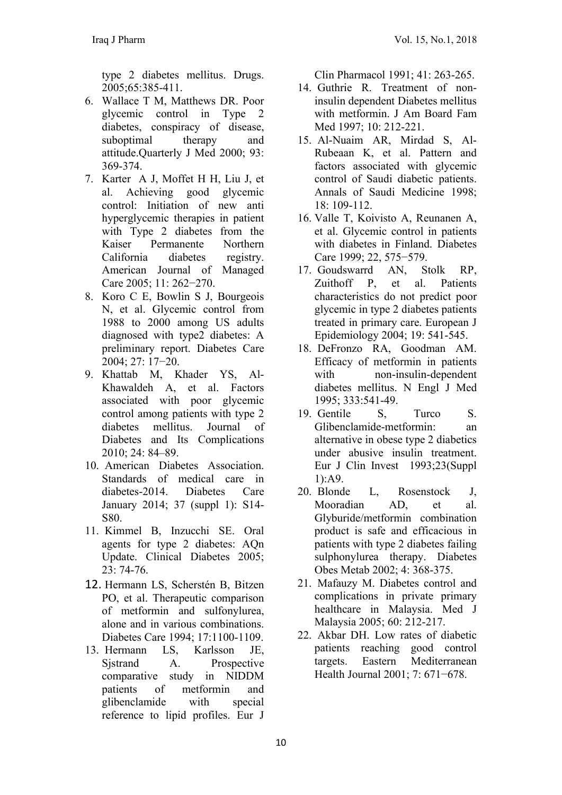type 2 diabetes mellitus. Drugs. 2005;65:385-411.

- 6. Wallace T M, Matthews DR. Poor glycemic control in Type 2 diabetes, conspiracy of disease, suboptimal therapy and attitude.Quarterly J Med 2000; 93: 369-374.
- 7. Karter A J, Moffet H H, Liu J, et al. Achieving good glycemic control: Initiation of new anti hyperglycemic therapies in patient with Type 2 diabetes from the Kaiser Permanente Northern California diabetes registry. American Journal of Managed Care 2005; 11: 262−270.
- 8. Koro C E, Bowlin S J, Bourgeois N, et al. Glycemic control from 1988 to 2000 among US adults diagnosed with type2 diabetes: A preliminary report. Diabetes Care 2004; 27: 17−20.
- 9. Khattab M, Khader YS, Al-Khawaldeh A, et al. Factors associated with poor glycemic control among patients with type 2 diabetes mellitus. Journal of Diabetes and Its Complications 2010; 24: 84–89.
- 10. American Diabetes Association. Standards of medical care in diabetes-2014. Diabetes Care January 2014; 37 (suppl 1): S14- S80.
- 11. Kimmel B, Inzucchi SE. Oral agents for type 2 diabetes: AQn Update. Clinical Diabetes 2005; 23: 74-76.
- 12. Hermann LS, Scherstén B, Bitzen PO, et al. Therapeutic comparison of metformin and sulfonylurea, alone and in various combinations. Diabetes Care 1994; 17:1100-1109.
- 13. Hermann LS, Karlsson JE, Sjstrand A. Prospective comparative study in NIDDM patients of metformin and glibenclamide with special reference to lipid profiles. Eur J

Clin Pharmacol 1991; 41: 263-265.

- 14. Guthrie R. Treatment of noninsulin dependent Diabetes mellitus with metformin. J Am Board Fam Med 1997; 10: 212-221.
- 15. Al-Nuaim AR, Mirdad S, Al-Rubeaan K, et al. Pattern and factors associated with glycemic control of Saudi diabetic patients. Annals of Saudi Medicine 1998; 18: 109-112.
- 16. Valle T, Koivisto A, Reunanen A, et al. Glycemic control in patients with diabetes in Finland. Diabetes Care 1999; 22, 575−579.
- 17. Goudswarrd AN, Stolk RP, Zuithoff P, et al. Patients characteristics do not predict poor glycemic in type 2 diabetes patients treated in primary care. European J Epidemiology 2004; 19: 541-545.
- 18. DeFronzo RA, Goodman AM. Efficacy of metformin in patients with non-insulin-dependent diabetes mellitus. N Engl J Med 1995; 333:541-49.
- 19. Gentile S, Turco S. Glibenclamide-metformin: an alternative in obese type 2 diabetics under abusive insulin treatment. Eur J Clin Invest 1993;23(Suppl 1):A9.
- 20. Blonde L, Rosenstock J, Mooradian AD, et al. Glyburide/metformin combination product is safe and efficacious in patients with type 2 diabetes failing sulphonylurea therapy. Diabetes Obes Metab 2002; 4: 368-375.
- 21. Mafauzy M. Diabetes control and complications in private primary healthcare in Malaysia. Med J Malaysia 2005; 60: 212-217.
- 22. Akbar DH. Low rates of diabetic patients reaching good control targets. Eastern Mediterranean Health Journal 2001; 7: 671−678.